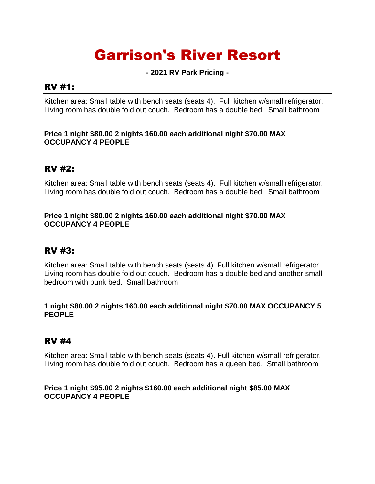# Garrison's River Resort

**- 2021 RV Park Pricing -**

## RV #1:

Kitchen area: Small table with bench seats (seats 4). Full kitchen w/small refrigerator. Living room has double fold out couch. Bedroom has a double bed. Small bathroom

#### **Price 1 night \$80.00 2 nights 160.00 each additional night \$70.00 MAX OCCUPANCY 4 PEOPLE**

## RV #2:

Kitchen area: Small table with bench seats (seats 4). Full kitchen w/small refrigerator. Living room has double fold out couch. Bedroom has a double bed. Small bathroom

#### **Price 1 night \$80.00 2 nights 160.00 each additional night \$70.00 MAX OCCUPANCY 4 PEOPLE**

# RV #3:

Kitchen area: Small table with bench seats (seats 4). Full kitchen w/small refrigerator. Living room has double fold out couch. Bedroom has a double bed and another small bedroom with bunk bed. Small bathroom

#### **1 night \$80.00 2 nights 160.00 each additional night \$70.00 MAX OCCUPANCY 5 PEOPLE**

# RV #4

Kitchen area: Small table with bench seats (seats 4). Full kitchen w/small refrigerator. Living room has double fold out couch. Bedroom has a queen bed. Small bathroom

#### **Price 1 night \$95.00 2 nights \$160.00 each additional night \$85.00 MAX OCCUPANCY 4 PEOPLE**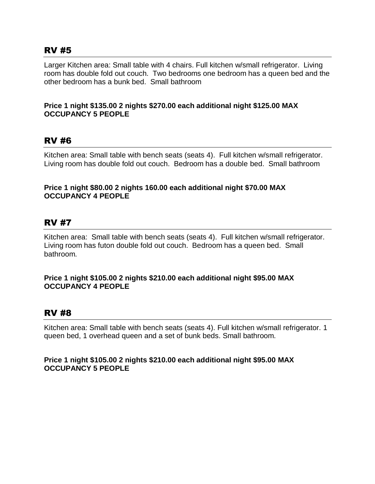## RV #5

Larger Kitchen area: Small table with 4 chairs. Full kitchen w/small refrigerator. Living room has double fold out couch. Two bedrooms one bedroom has a queen bed and the other bedroom has a bunk bed. Small bathroom

#### **Price 1 night \$135.00 2 nights \$270.00 each additional night \$125.00 MAX OCCUPANCY 5 PEOPLE**

## RV #6

Kitchen area: Small table with bench seats (seats 4). Full kitchen w/small refrigerator. Living room has double fold out couch. Bedroom has a double bed. Small bathroom

#### **Price 1 night \$80.00 2 nights 160.00 each additional night \$70.00 MAX OCCUPANCY 4 PEOPLE**

# RV #7

Kitchen area: Small table with bench seats (seats 4). Full kitchen w/small refrigerator. Living room has futon double fold out couch. Bedroom has a queen bed. Small bathroom.

#### **Price 1 night \$105.00 2 nights \$210.00 each additional night \$95.00 MAX OCCUPANCY 4 PEOPLE**

# RV #8

Kitchen area: Small table with bench seats (seats 4). Full kitchen w/small refrigerator. 1 queen bed, 1 overhead queen and a set of bunk beds. Small bathroom.

#### **Price 1 night \$105.00 2 nights \$210.00 each additional night \$95.00 MAX OCCUPANCY 5 PEOPLE**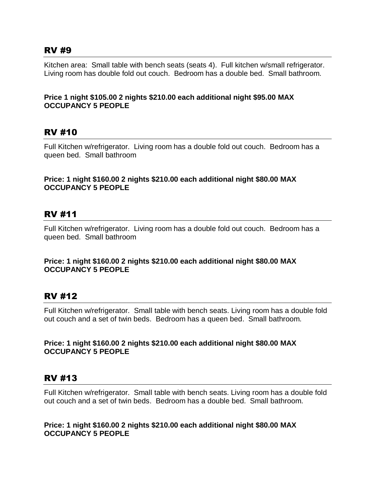## RV #9

Kitchen area: Small table with bench seats (seats 4). Full kitchen w/small refrigerator. Living room has double fold out couch. Bedroom has a double bed. Small bathroom.

#### **Price 1 night \$105.00 2 nights \$210.00 each additional night \$95.00 MAX OCCUPANCY 5 PEOPLE**

# RV #10

Full Kitchen w/refrigerator. Living room has a double fold out couch. Bedroom has a queen bed. Small bathroom

#### **Price: 1 night \$160.00 2 nights \$210.00 each additional night \$80.00 MAX OCCUPANCY 5 PEOPLE**

# RV #11

Full Kitchen w/refrigerator. Living room has a double fold out couch. Bedroom has a queen bed. Small bathroom

#### **Price: 1 night \$160.00 2 nights \$210.00 each additional night \$80.00 MAX OCCUPANCY 5 PEOPLE**

# RV #12

Full Kitchen w/refrigerator. Small table with bench seats. Living room has a double fold out couch and a set of twin beds. Bedroom has a queen bed. Small bathroom.

#### **Price: 1 night \$160.00 2 nights \$210.00 each additional night \$80.00 MAX OCCUPANCY 5 PEOPLE**

## RV #13

Full Kitchen w/refrigerator. Small table with bench seats. Living room has a double fold out couch and a set of twin beds. Bedroom has a double bed. Small bathroom.

**Price: 1 night \$160.00 2 nights \$210.00 each additional night \$80.00 MAX OCCUPANCY 5 PEOPLE**